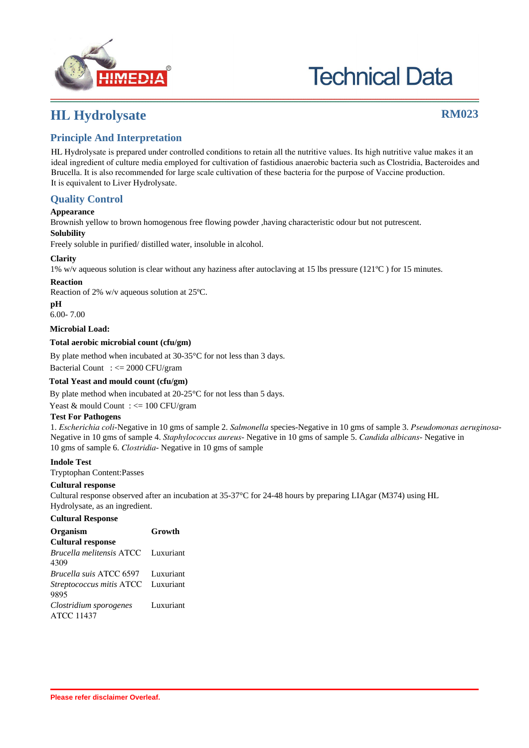

# **Technical Data**

### **HL Hydrolysate RM023**

### **Principle And Interpretation**

HL Hydrolysate is prepared under controlled conditions to retain all the nutritive values. Its high nutritive value makes it an ideal ingredient of culture media employed for cultivation of fastidious anaerobic bacteria such as Clostridia, Bacteroides and Brucella. It is also recommended for large scale cultivation of these bacteria for the purpose of Vaccine production. It is equivalent to Liver Hydrolysate.

#### **Quality Control**

#### **Appearance**

Brownish yellow to brown homogenous free flowing powder ,having characteristic odour but not putrescent.

#### **Solubility**

Freely soluble in purified/ distilled water, insoluble in alcohol.

#### **Clarity**

1% w/v aqueous solution is clear without any haziness after autoclaving at 15 lbs pressure (121ºC ) for 15 minutes.

#### **Reaction**

Reaction of 2% w/v aqueous solution at 25ºC.

#### **pH**

6.00- 7.00

#### **Microbial Load:**

#### **Total aerobic microbial count (cfu/gm)**

By plate method when incubated at 30-35°C for not less than 3 days.

Bacterial Count : <= 2000 CFU/gram

#### **Total Yeast and mould count (cfu/gm)**

By plate method when incubated at 20-25°C for not less than 5 days.

Yeast & mould Count :  $\leq$  100 CFU/gram

#### **Test For Pathogens**

1. *Escherichia coli*-Negative in 10 gms of sample 2. *Salmonella* species-Negative in 10 gms of sample 3. *Pseudomonas aeruginosa*-Negative in 10 gms of sample 4. *Staphylococcus aureus*- Negative in 10 gms of sample 5. *Candida albicans*- Negative in 10 gms of sample 6. *Clostridia*- Negative in 10 gms of sample

#### **Indole Test**

Tryptophan Content:Passes

#### **Cultural response**

Cultural response observed after an incubation at 35-37°C for 24-48 hours by preparing LIAgar (M374) using HL Hydrolysate, as an ingredient.

#### **Cultural Response**

| Organism                                 | Growth    |
|------------------------------------------|-----------|
| <b>Cultural response</b>                 |           |
| Brucella melitensis ATCC                 | Luxuriant |
| 4309                                     |           |
| <i>Brucella suis</i> ATCC 6597 Luxuriant |           |
| Streptococcus mitis ATCC                 | Luxuriant |
| 9895                                     |           |
| Clostridium sporogenes                   | Luxuriant |
| <b>ATCC 11437</b>                        |           |